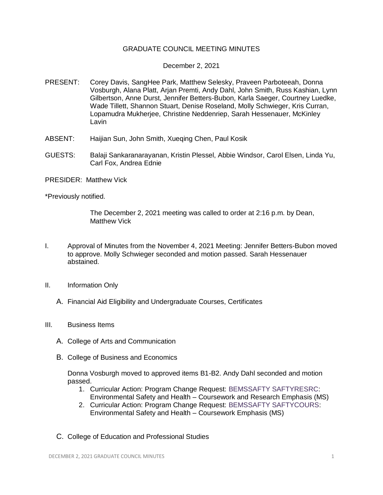## GRADUATE COUNCIL MEETING MINUTES

## December 2, 2021

- PRESENT: Corey Davis, SangHee Park, Matthew Selesky, Praveen Parboteeah, Donna Vosburgh, Alana Platt, Arjan Premti, Andy Dahl, John Smith, Russ Kashian, Lynn Gilbertson, Anne Durst, Jennifer Betters-Bubon, Karla Saeger, Courtney Luedke, Wade Tillett, Shannon Stuart, Denise Roseland, Molly Schwieger, Kris Curran, Lopamudra Mukherjee, Christine Neddenriep, Sarah Hessenauer, McKinley Lavin
- ABSENT: Haijian Sun, John Smith, Xueqing Chen, Paul Kosik
- GUESTS: Balaji Sankaranarayanan, Kristin Plessel, Abbie Windsor, Carol Elsen, Linda Yu, Carl Fox, Andrea Ednie
- PRESIDER: Matthew Vick

\*Previously notified.

The December 2, 2021 meeting was called to order at 2:16 p.m. by Dean, Matthew Vick

- I. Approval of Minutes from the November 4, 2021 Meeting: Jennifer Betters-Bubon moved to approve. Molly Schwieger seconded and motion passed. Sarah Hessenauer abstained.
- II. Information Only
	- A. Financial Aid Eligibility and Undergraduate Courses, Certificates
- III. Business Items
	- A. College of Arts and Communication
	- B. College of Business and Economics

Donna Vosburgh moved to approved items B1-B2. Andy Dahl seconded and motion passed.

- 1. Curricular Action: Program Change Request: [BEMSSAFTY SAFTYRESRC:](https://uww-next.courseleaf.com/courseleaf/courseleaf.cgi?page=/programadmin/567/index.html&step=showfullrecord) Environmental Safety and Health – Coursework and Research Emphasis (MS)
- 2. Curricular Action: Program Change Request: [BEMSSAFTY SAFTYCOURS:](https://uww-next.courseleaf.com/courseleaf/courseleaf.cgi?page=/programadmin/568/index.html&step=showfullrecord) Environmental Safety and Health – Coursework Emphasis (MS)
- C. College of Education and Professional Studies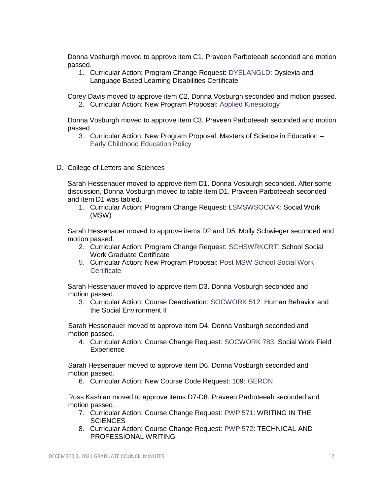Donna Vosburgh moved to approve item C1. Praveen Parboteeah seconded and motion passed.

1. Curricular Action: Program Change Request: [DYSLANGLD:](https://uww-next.courseleaf.com/courseleaf/courseleaf.cgi?page=/programadmin/565/index.html&step=showfullrecord) Dyslexia and Language Based Learning Disabilities Certificate

Corey Davis moved to approve item C2. Donna Vosburgh seconded and motion passed.

2. Curricular Action: New Program Proposal: [Applied Kinesiology](https://uww-next.courseleaf.com/courseleaf/courseleaf.cgi?page=/programadmin/585/index.html&step=showfullrecord)

Donna Vosburgh moved to approve item C3. Praveen Parboteeah seconded and motion passed.

- 3. Curricular Action: New Program Proposal: Masters of Science in Education [Early Childhood Education Policy](https://uww-next.courseleaf.com/courseleaf/courseleaf.cgi?page=/programadmin/586/index.html&step=showfullrecord)
- D. College of Letters and Sciences

Sarah Hessenauer moved to approve item D1. Donna Vosburgh seconded. After some discussion, Donna Vosburgh moved to table item D1. Praveen Parboteeah seconded and item D1 was tabled.

1. Curricular Action: Program Change Request: [LSMSWSOCWK:](https://uww-next.courseleaf.com/courseleaf/courseleaf.cgi?page=/programadmin/389/index.html&step=showfullrecord) Social Work (MSW)

Sarah Hessenauer moved to approve items D2 and D5. Molly Schwieger seconded and motion passed.

- 2. Curricular Action: Program Change Request: [SCHSWRKCRT:](https://uww-next.courseleaf.com/courseleaf/courseleaf.cgi?page=/programadmin/519/index.html&step=showfullrecord) School Social Work Graduate Certificate
- 5. Curricular Action: New Program Proposal: [Post MSW School Social Work](https://uww-next.courseleaf.com/courseleaf/courseleaf.cgi?page=/programadmin/579/index.html&step=showfullrecord)  **Certificate**

Sarah Hessenauer moved to approve item D3. Donna Vosburgh seconded and motion passed.

3. Curricular Action: Course Deactivation: [SOCWORK 512:](https://uww-next.courseleaf.com/courseleaf/courseleaf.cgi?page=/courseadmin/3536/index.html&step=showfullrecord) Human Behavior and the Social Environment II

 Sarah Hessenauer moved to approve item D4. Donna Vosburgh seconded and motion passed.

4. Curricular Action: Course Change Request: [SOCWORK 783:](https://uww-next.courseleaf.com/courseleaf/courseleaf.cgi?page=/courseadmin/4817/index.html&step=showfullrecord) Social Work Field **Experience** 

 Sarah Hessenauer moved to approve item D6. Donna Vosburgh seconded and motion passed.

6. Curricular Action: New Course Code Request: 109: [GERON](https://uww-next.courseleaf.com/courseleaf/courseleaf.cgi?page=/miscadmin/109/index.html&step=showfullrecord)

 Russ Kashian moved to approve items D7-D8. Praveen Parboteeah seconded and motion passed.

- 7. Curricular Action: Course Change Request: [PWP 571:](https://uww-next.courseleaf.com/courseleaf/courseleaf.cgi?page=/courseadmin/2360/index.html&step=showfullrecord) WRITING IN THE SCIENCES
- 8. Curricular Action: Course Change Request: [PWP 572:](https://uww-next.courseleaf.com/courseleaf/courseleaf.cgi?page=/courseadmin/2365/index.html&step=showfullrecord) TECHNICAL AND PROFESSIONAL WRITING